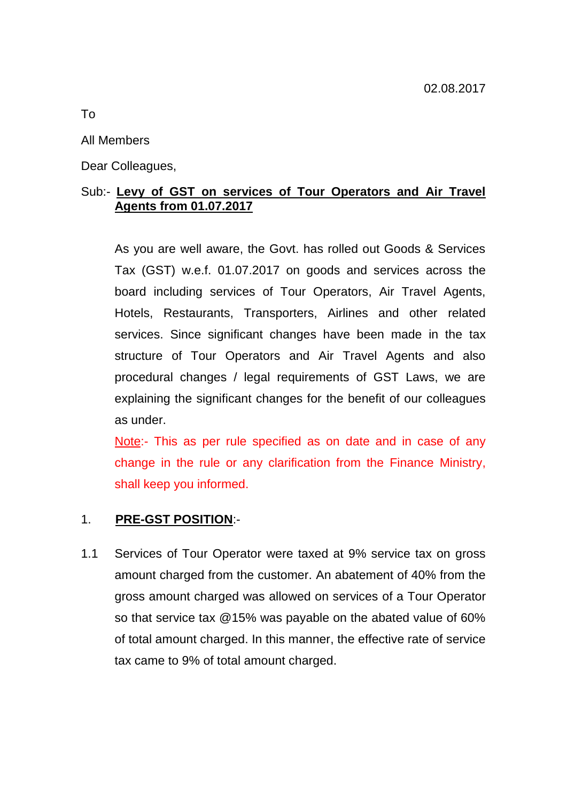### All Members

Dear Colleagues,

# Sub:- **Levy of GST on services of Tour Operators and Air Travel Agents from 01.07.2017**

As you are well aware, the Govt. has rolled out Goods & Services Tax (GST) w.e.f. 01.07.2017 on goods and services across the board including services of Tour Operators, Air Travel Agents, Hotels, Restaurants, Transporters, Airlines and other related services. Since significant changes have been made in the tax structure of Tour Operators and Air Travel Agents and also procedural changes / legal requirements of GST Laws, we are explaining the significant changes for the benefit of our colleagues as under.

Note:- This as per rule specified as on date and in case of any change in the rule or any clarification from the Finance Ministry, shall keep you informed.

### 1. **PRE-GST POSITION**:-

1.1 Services of Tour Operator were taxed at 9% service tax on gross amount charged from the customer. An abatement of 40% from the gross amount charged was allowed on services of a Tour Operator so that service tax @15% was payable on the abated value of 60% of total amount charged. In this manner, the effective rate of service tax came to 9% of total amount charged.

To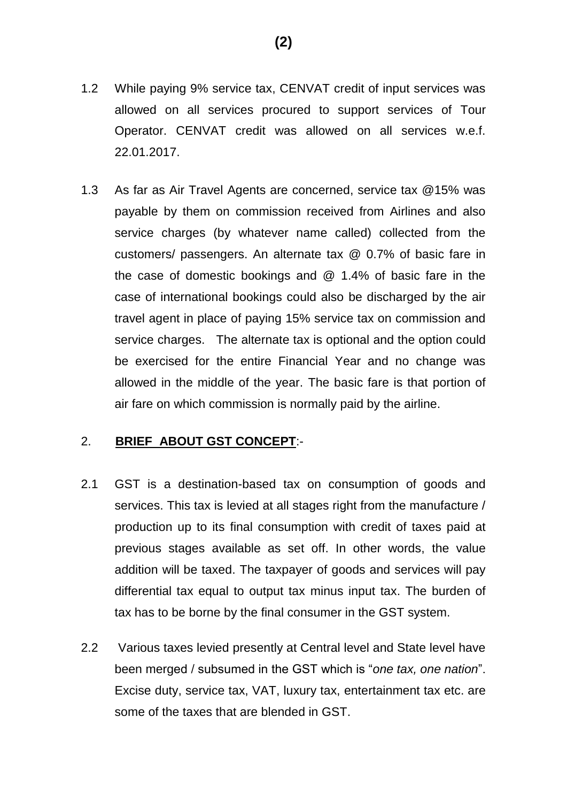- 1.2 While paying 9% service tax, CENVAT credit of input services was allowed on all services procured to support services of Tour Operator. CENVAT credit was allowed on all services w.e.f. 22.01.2017.
- 1.3 As far as Air Travel Agents are concerned, service tax @15% was payable by them on commission received from Airlines and also service charges (by whatever name called) collected from the customers/ passengers. An alternate tax @ 0.7% of basic fare in the case of domestic bookings and @ 1.4% of basic fare in the case of international bookings could also be discharged by the air travel agent in place of paying 15% service tax on commission and service charges. The alternate tax is optional and the option could be exercised for the entire Financial Year and no change was allowed in the middle of the year. The basic fare is that portion of air fare on which commission is normally paid by the airline.

# 2. **BRIEF ABOUT GST CONCEPT**:-

- 2.1 GST is a destination-based tax on consumption of goods and services. This tax is levied at all stages right from the manufacture / production up to its final consumption with credit of taxes paid at previous stages available as set off. In other words, the value addition will be taxed. The taxpayer of goods and services will pay differential tax equal to output tax minus input tax. The burden of tax has to be borne by the final consumer in the GST system.
- 2.2 Various taxes levied presently at Central level and State level have been merged / subsumed in the GST which is "*one tax, one nation*". Excise duty, service tax, VAT, luxury tax, entertainment tax etc. are some of the taxes that are blended in GST.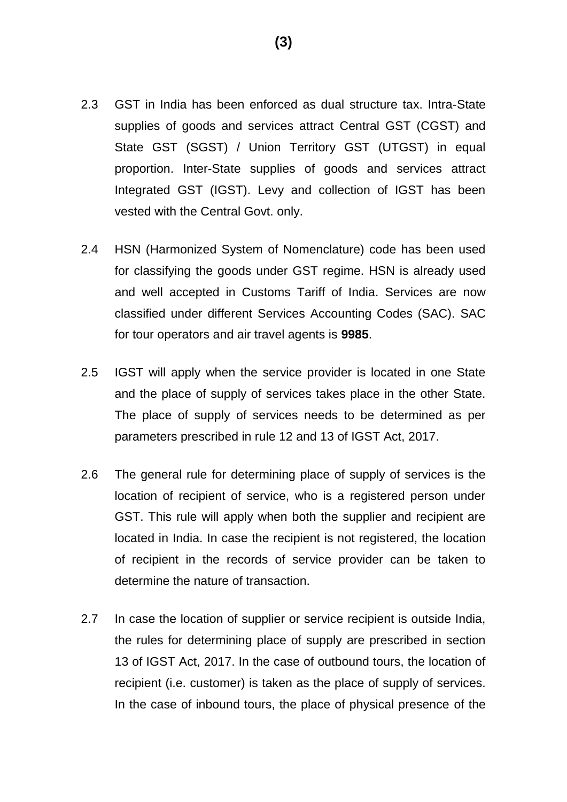- 2.3 GST in India has been enforced as dual structure tax. Intra-State supplies of goods and services attract Central GST (CGST) and State GST (SGST) / Union Territory GST (UTGST) in equal proportion. Inter-State supplies of goods and services attract Integrated GST (IGST). Levy and collection of IGST has been vested with the Central Govt. only.
- 2.4 HSN (Harmonized System of Nomenclature) code has been used for classifying the goods under GST regime. HSN is already used and well accepted in Customs Tariff of India. Services are now classified under different Services Accounting Codes (SAC). SAC for tour operators and air travel agents is **9985**.
- 2.5 IGST will apply when the service provider is located in one State and the place of supply of services takes place in the other State. The place of supply of services needs to be determined as per parameters prescribed in rule 12 and 13 of IGST Act, 2017.
- 2.6 The general rule for determining place of supply of services is the location of recipient of service, who is a registered person under GST. This rule will apply when both the supplier and recipient are located in India. In case the recipient is not registered, the location of recipient in the records of service provider can be taken to determine the nature of transaction.
- 2.7 In case the location of supplier or service recipient is outside India, the rules for determining place of supply are prescribed in section 13 of IGST Act, 2017. In the case of outbound tours, the location of recipient (i.e. customer) is taken as the place of supply of services. In the case of inbound tours, the place of physical presence of the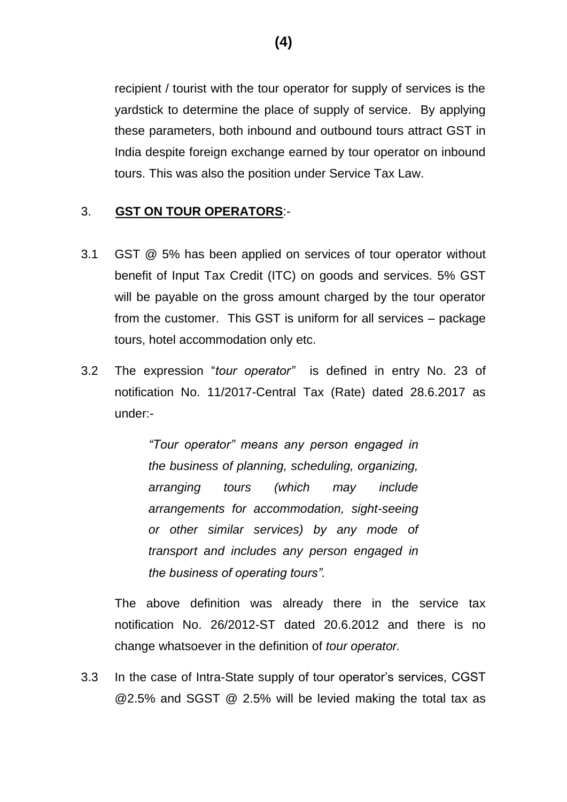recipient / tourist with the tour operator for supply of services is the yardstick to determine the place of supply of service. By applying these parameters, both inbound and outbound tours attract GST in India despite foreign exchange earned by tour operator on inbound tours. This was also the position under Service Tax Law.

### 3. **GST ON TOUR OPERATORS**:-

- 3.1 GST @ 5% has been applied on services of tour operator without benefit of Input Tax Credit (ITC) on goods and services. 5% GST will be payable on the gross amount charged by the tour operator from the customer. This GST is uniform for all services – package tours, hotel accommodation only etc.
- 3.2 The expression "*tour operator"* is defined in entry No. 23 of notification No. 11/2017-Central Tax (Rate) dated 28.6.2017 as under:-

*"Tour operator" means any person engaged in the business of planning, scheduling, organizing, arranging tours (which may include arrangements for accommodation, sight-seeing or other similar services) by any mode of transport and includes any person engaged in the business of operating tours".* 

The above definition was already there in the service tax notification No. 26/2012-ST dated 20.6.2012 and there is no change whatsoever in the definition of *tour operator.* 

3.3 In the case of Intra-State supply of tour operator's services, CGST @2.5% and SGST @ 2.5% will be levied making the total tax as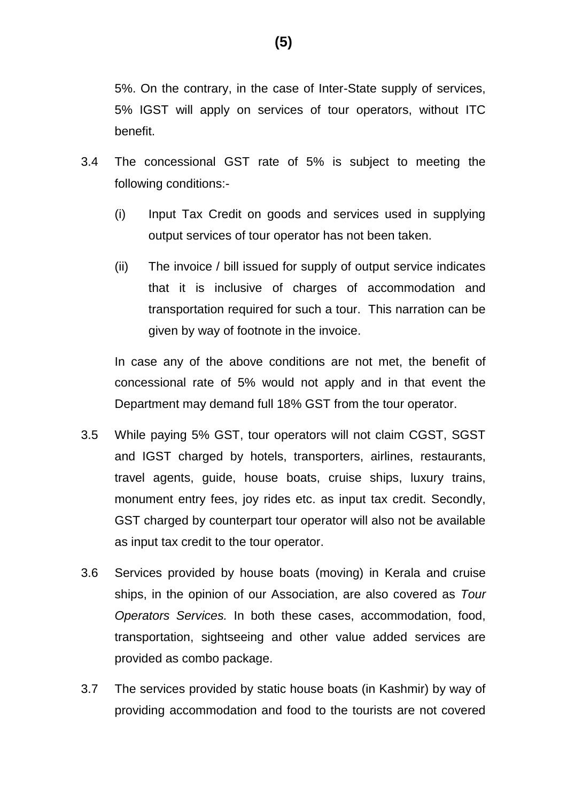5%. On the contrary, in the case of Inter-State supply of services, 5% IGST will apply on services of tour operators, without ITC benefit.

- 3.4 The concessional GST rate of 5% is subject to meeting the following conditions:-
	- (i) Input Tax Credit on goods and services used in supplying output services of tour operator has not been taken.
	- (ii) The invoice / bill issued for supply of output service indicates that it is inclusive of charges of accommodation and transportation required for such a tour. This narration can be given by way of footnote in the invoice.

In case any of the above conditions are not met, the benefit of concessional rate of 5% would not apply and in that event the Department may demand full 18% GST from the tour operator.

- 3.5 While paying 5% GST, tour operators will not claim CGST, SGST and IGST charged by hotels, transporters, airlines, restaurants, travel agents, guide, house boats, cruise ships, luxury trains, monument entry fees, joy rides etc. as input tax credit. Secondly, GST charged by counterpart tour operator will also not be available as input tax credit to the tour operator.
- 3.6 Services provided by house boats (moving) in Kerala and cruise ships, in the opinion of our Association, are also covered as *Tour Operators Services.* In both these cases, accommodation, food, transportation, sightseeing and other value added services are provided as combo package.
- 3.7 The services provided by static house boats (in Kashmir) by way of providing accommodation and food to the tourists are not covered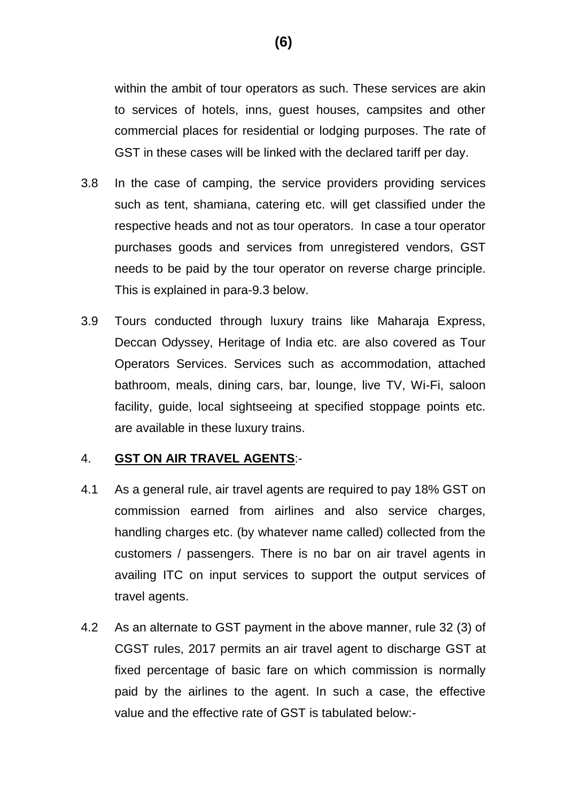within the ambit of tour operators as such. These services are akin to services of hotels, inns, guest houses, campsites and other commercial places for residential or lodging purposes. The rate of GST in these cases will be linked with the declared tariff per day.

- 3.8 In the case of camping, the service providers providing services such as tent, shamiana, catering etc. will get classified under the respective heads and not as tour operators. In case a tour operator purchases goods and services from unregistered vendors, GST needs to be paid by the tour operator on reverse charge principle. This is explained in para-9.3 below.
- 3.9 Tours conducted through luxury trains like Maharaja Express, Deccan Odyssey, Heritage of India etc. are also covered as Tour Operators Services. Services such as accommodation, attached bathroom, meals, dining cars, bar, lounge, live TV, Wi-Fi, saloon facility, guide, local sightseeing at specified stoppage points etc. are available in these luxury trains.

### 4. **GST ON AIR TRAVEL AGENTS**:-

- 4.1 As a general rule, air travel agents are required to pay 18% GST on commission earned from airlines and also service charges, handling charges etc. (by whatever name called) collected from the customers / passengers. There is no bar on air travel agents in availing ITC on input services to support the output services of travel agents.
- 4.2 As an alternate to GST payment in the above manner, rule 32 (3) of CGST rules, 2017 permits an air travel agent to discharge GST at fixed percentage of basic fare on which commission is normally paid by the airlines to the agent. In such a case, the effective value and the effective rate of GST is tabulated below:-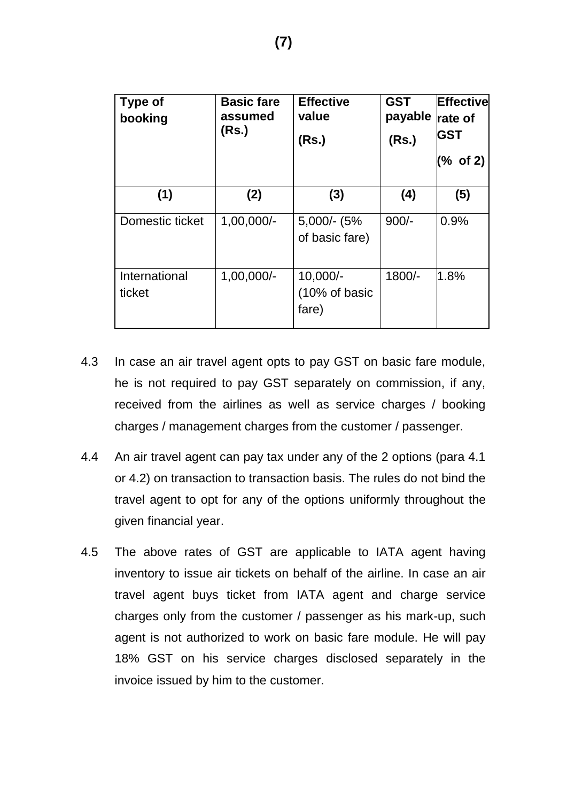| Type of<br>booking      | <b>Basic fare</b><br>assumed<br>(Rs.) | <b>Effective</b><br>value<br>(Rs.)   | <b>GST</b><br>payable<br>(Rs.) | <b>Effective</b><br>rate of<br><b>GST</b><br>(% of 2) |
|-------------------------|---------------------------------------|--------------------------------------|--------------------------------|-------------------------------------------------------|
| (1)                     | (2)                                   | (3)                                  | (4)                            | (5)                                                   |
| Domestic ticket         | $1,00,000/-$                          | 5,000/- (5%<br>of basic fare)        | $900/-$                        | 0.9%                                                  |
| International<br>ticket | $1,00,000/-$                          | $10,000/-$<br>(10% of basic<br>fare) | $1800/-$                       | 1.8%                                                  |

- 4.3 In case an air travel agent opts to pay GST on basic fare module, he is not required to pay GST separately on commission, if any, received from the airlines as well as service charges / booking charges / management charges from the customer / passenger.
- 4.4 An air travel agent can pay tax under any of the 2 options (para 4.1 or 4.2) on transaction to transaction basis. The rules do not bind the travel agent to opt for any of the options uniformly throughout the given financial year.
- 4.5 The above rates of GST are applicable to IATA agent having inventory to issue air tickets on behalf of the airline. In case an air travel agent buys ticket from IATA agent and charge service charges only from the customer / passenger as his mark-up, such agent is not authorized to work on basic fare module. He will pay 18% GST on his service charges disclosed separately in the invoice issued by him to the customer.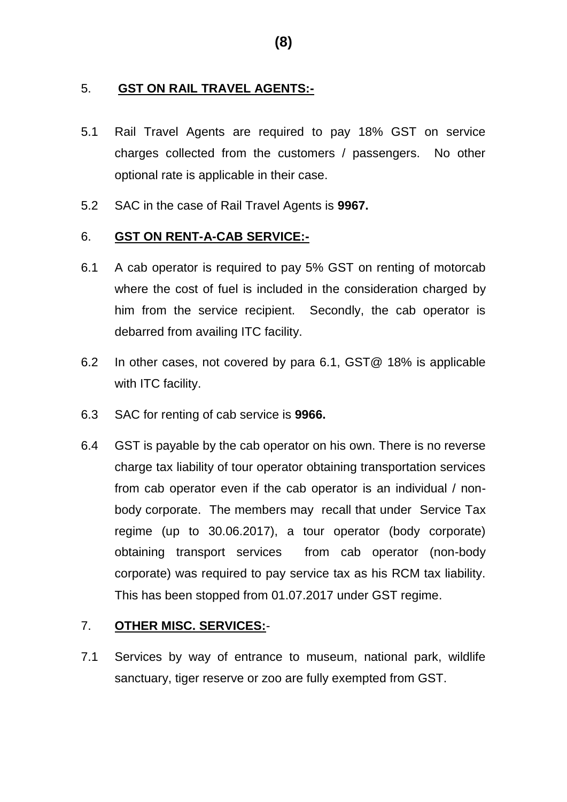### 5. **GST ON RAIL TRAVEL AGENTS:-**

- 5.1 Rail Travel Agents are required to pay 18% GST on service charges collected from the customers / passengers. No other optional rate is applicable in their case.
- 5.2 SAC in the case of Rail Travel Agents is **9967.**

### 6. **GST ON RENT-A-CAB SERVICE:-**

- 6.1 A cab operator is required to pay 5% GST on renting of motorcab where the cost of fuel is included in the consideration charged by him from the service recipient. Secondly, the cab operator is debarred from availing ITC facility.
- 6.2 In other cases, not covered by para 6.1, GST@ 18% is applicable with ITC facility.
- 6.3 SAC for renting of cab service is **9966.**
- 6.4 GST is payable by the cab operator on his own. There is no reverse charge tax liability of tour operator obtaining transportation services from cab operator even if the cab operator is an individual / nonbody corporate. The members may recall that under Service Tax regime (up to 30.06.2017), a tour operator (body corporate) obtaining transport services from cab operator (non-body corporate) was required to pay service tax as his RCM tax liability. This has been stopped from 01.07.2017 under GST regime.

# 7. **OTHER MISC. SERVICES:**-

7.1 Services by way of entrance to museum, national park, wildlife sanctuary, tiger reserve or zoo are fully exempted from GST.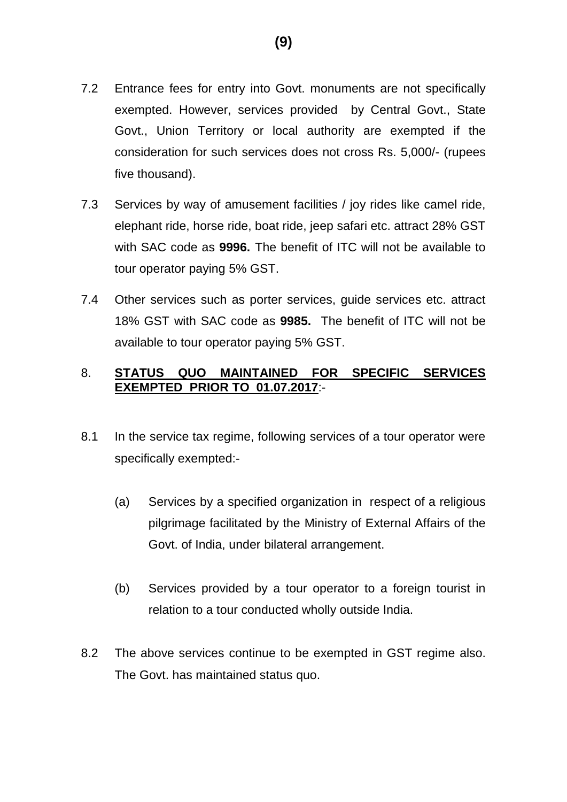- 7.2 Entrance fees for entry into Govt. monuments are not specifically exempted. However, services provided by Central Govt., State Govt., Union Territory or local authority are exempted if the consideration for such services does not cross Rs. 5,000/- (rupees five thousand).
- 7.3 Services by way of amusement facilities / joy rides like camel ride, elephant ride, horse ride, boat ride, jeep safari etc. attract 28% GST with SAC code as **9996.** The benefit of ITC will not be available to tour operator paying 5% GST.
- 7.4 Other services such as porter services, guide services etc. attract 18% GST with SAC code as **9985.** The benefit of ITC will not be available to tour operator paying 5% GST.

# 8. **STATUS QUO MAINTAINED FOR SPECIFIC SERVICES EXEMPTED PRIOR TO 01.07.2017**:-

- 8.1 In the service tax regime, following services of a tour operator were specifically exempted:-
	- (a) Services by a specified organization in respect of a religious pilgrimage facilitated by the Ministry of External Affairs of the Govt. of India, under bilateral arrangement.
	- (b) Services provided by a tour operator to a foreign tourist in relation to a tour conducted wholly outside India.
- 8.2 The above services continue to be exempted in GST regime also. The Govt. has maintained status quo.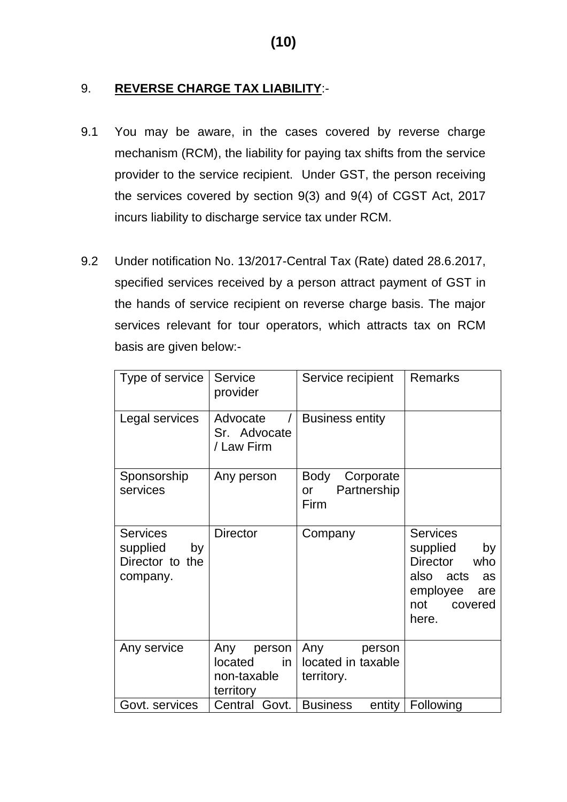# 9. **REVERSE CHARGE TAX LIABILITY**:-

- 9.1 You may be aware, in the cases covered by reverse charge mechanism (RCM), the liability for paying tax shifts from the service provider to the service recipient. Under GST, the person receiving the services covered by section 9(3) and 9(4) of CGST Act, 2017 incurs liability to discharge service tax under RCM.
- 9.2 Under notification No. 13/2017-Central Tax (Rate) dated 28.6.2017, specified services received by a person attract payment of GST in the hands of service recipient on reverse charge basis. The major services relevant for tour operators, which attracts tax on RCM basis are given below:-

| Type of service                                                  | Service<br>provider                                        | Service recipient                                 | <b>Remarks</b>                                                                                                               |
|------------------------------------------------------------------|------------------------------------------------------------|---------------------------------------------------|------------------------------------------------------------------------------------------------------------------------------|
| Legal services                                                   | Advocate<br>Sr. Advocate<br>/ Law Firm                     | <b>Business entity</b>                            |                                                                                                                              |
| Sponsorship<br>services                                          | Any person                                                 | Body<br>Corporate<br>Partnership<br>or<br>Firm    |                                                                                                                              |
| <b>Services</b><br>supplied<br>by<br>Director to the<br>company. | <b>Director</b>                                            | Company                                           | <b>Services</b><br>supplied<br>by<br><b>Director</b><br>who<br>also acts<br>as<br>employee<br>are<br>not<br>covered<br>here. |
| Any service                                                      | person<br>Any<br>in<br>located<br>non-taxable<br>territory | Any<br>person<br>located in taxable<br>territory. |                                                                                                                              |
| Govt. services                                                   | Govt.<br>Central                                           | <b>Business</b><br>entity                         | Following                                                                                                                    |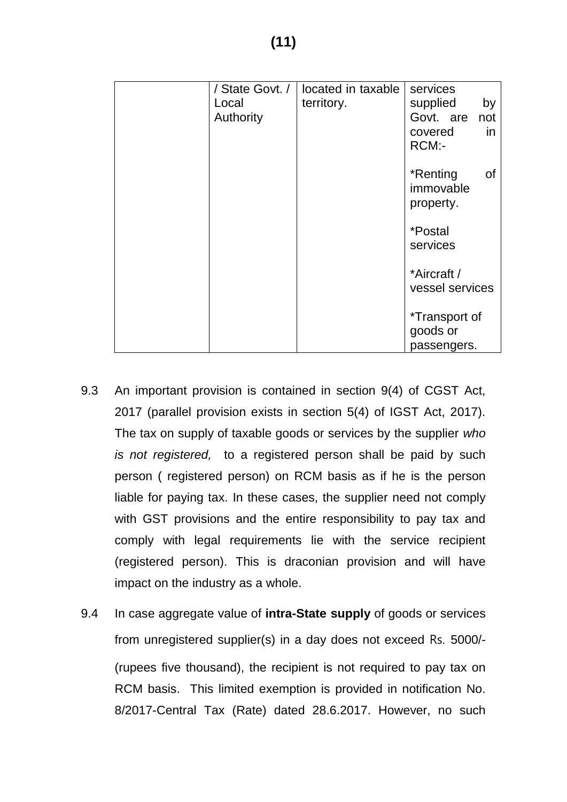| / State Govt. / | located in taxable | services              |
|-----------------|--------------------|-----------------------|
| Local           | territory.         | supplied<br>by        |
|                 |                    | Govt. are             |
| Authority       |                    | not                   |
|                 |                    | in<br>covered         |
|                 |                    | RCM:-                 |
|                 |                    |                       |
|                 |                    | *Renting<br>Οf        |
|                 |                    | immovable             |
|                 |                    | property.             |
|                 |                    |                       |
|                 |                    | <i><b>*Postal</b></i> |
|                 |                    | services              |
|                 |                    |                       |
|                 |                    | *Aircraft /           |
|                 |                    | vessel services       |
|                 |                    |                       |
|                 |                    | <i>*</i> Transport of |
|                 |                    | goods or              |
|                 |                    |                       |
|                 |                    | passengers.           |

- 9.3 An important provision is contained in section 9(4) of CGST Act, 2017 (parallel provision exists in section 5(4) of IGST Act, 2017). The tax on supply of taxable goods or services by the supplier *who is not registered,* to a registered person shall be paid by such person ( registered person) on RCM basis as if he is the person liable for paying tax. In these cases, the supplier need not comply with GST provisions and the entire responsibility to pay tax and comply with legal requirements lie with the service recipient (registered person). This is draconian provision and will have impact on the industry as a whole.
- 9.4 In case aggregate value of **intra-State supply** of goods or services from unregistered supplier(s) in a day does not exceed Rs. 5000/- (rupees five thousand), the recipient is not required to pay tax on RCM basis. This limited exemption is provided in notification No. 8/2017-Central Tax (Rate) dated 28.6.2017. However, no such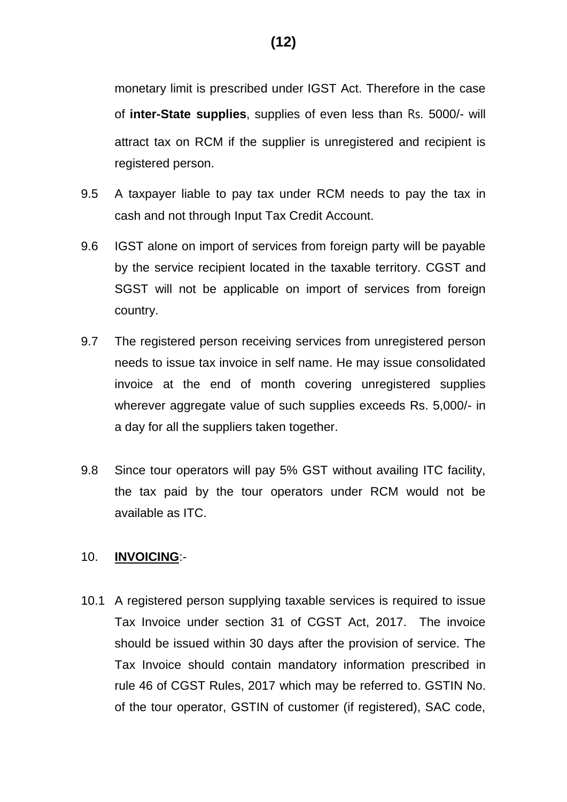monetary limit is prescribed under IGST Act. Therefore in the case of **inter-State supplies**, supplies of even less than Rs. 5000/- will attract tax on RCM if the supplier is unregistered and recipient is registered person.

- 9.5 A taxpayer liable to pay tax under RCM needs to pay the tax in cash and not through Input Tax Credit Account.
- 9.6 IGST alone on import of services from foreign party will be payable by the service recipient located in the taxable territory. CGST and SGST will not be applicable on import of services from foreign country.
- 9.7 The registered person receiving services from unregistered person needs to issue tax invoice in self name. He may issue consolidated invoice at the end of month covering unregistered supplies wherever aggregate value of such supplies exceeds Rs. 5,000/- in a day for all the suppliers taken together.
- 9.8 Since tour operators will pay 5% GST without availing ITC facility, the tax paid by the tour operators under RCM would not be available as ITC.

### 10. **INVOICING**:-

10.1 A registered person supplying taxable services is required to issue Tax Invoice under section 31 of CGST Act, 2017. The invoice should be issued within 30 days after the provision of service. The Tax Invoice should contain mandatory information prescribed in rule 46 of CGST Rules, 2017 which may be referred to. GSTIN No. of the tour operator, GSTIN of customer (if registered), SAC code,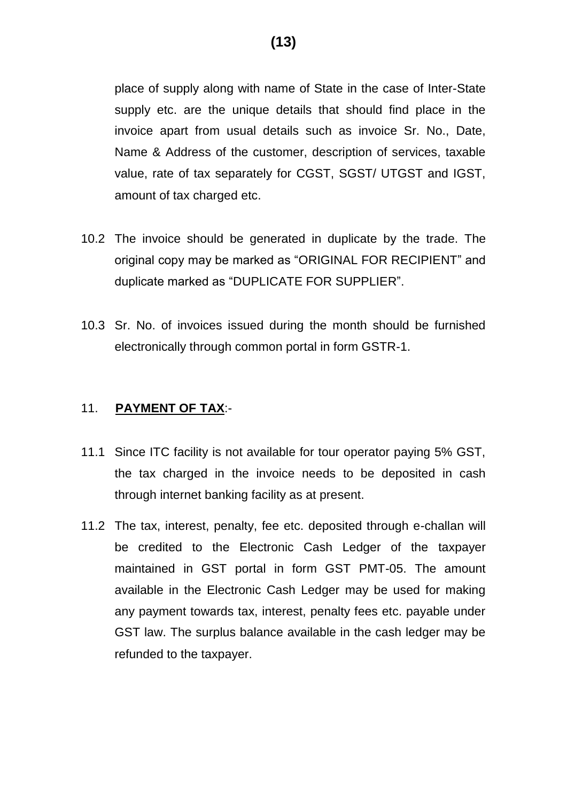place of supply along with name of State in the case of Inter-State supply etc. are the unique details that should find place in the invoice apart from usual details such as invoice Sr. No., Date, Name & Address of the customer, description of services, taxable value, rate of tax separately for CGST, SGST/ UTGST and IGST, amount of tax charged etc.

- 10.2 The invoice should be generated in duplicate by the trade. The original copy may be marked as "ORIGINAL FOR RECIPIENT" and duplicate marked as "DUPLICATE FOR SUPPLIER".
- 10.3 Sr. No. of invoices issued during the month should be furnished electronically through common portal in form GSTR-1.

# 11. **PAYMENT OF TAX**:-

- 11.1 Since ITC facility is not available for tour operator paying 5% GST, the tax charged in the invoice needs to be deposited in cash through internet banking facility as at present.
- 11.2 The tax, interest, penalty, fee etc. deposited through e-challan will be credited to the Electronic Cash Ledger of the taxpayer maintained in GST portal in form GST PMT-05. The amount available in the Electronic Cash Ledger may be used for making any payment towards tax, interest, penalty fees etc. payable under GST law. The surplus balance available in the cash ledger may be refunded to the taxpayer.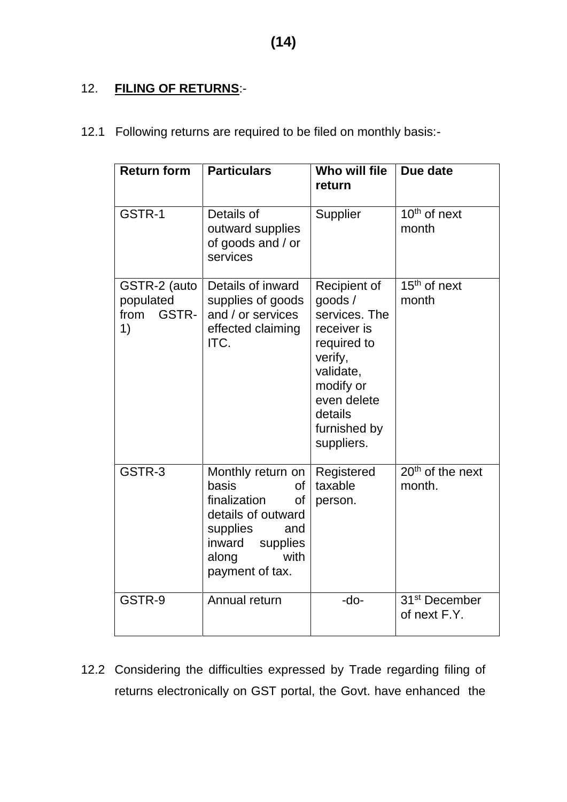# 12. **FILING OF RETURNS**:-

| 12.1 Following returns are required to be filed on monthly basis:- |  |  |
|--------------------------------------------------------------------|--|--|
|                                                                    |  |  |

| <b>Return form</b>                               | <b>Particulars</b>                                                                                                                                        | Who will file<br>return                                                                                                                                            | Due date                                  |
|--------------------------------------------------|-----------------------------------------------------------------------------------------------------------------------------------------------------------|--------------------------------------------------------------------------------------------------------------------------------------------------------------------|-------------------------------------------|
| GSTR-1                                           | Details of<br>outward supplies<br>of goods and / or<br>services                                                                                           | Supplier                                                                                                                                                           | $10th$ of next<br>month                   |
| GSTR-2 (auto<br>populated<br>GSTR-<br>from<br>1) | Details of inward<br>supplies of goods<br>and / or services<br>effected claiming<br>ITC.                                                                  | Recipient of<br>goods/<br>services. The<br>receiver is<br>required to<br>verify,<br>validate,<br>modify or<br>even delete<br>details<br>furnished by<br>suppliers. | $15th$ of next<br>month                   |
| GSTR-3                                           | Monthly return on<br>basis<br>0f<br>finalization<br>0f<br>details of outward<br>supplies<br>and<br>inward<br>supplies<br>with<br>along<br>payment of tax. | Registered<br>taxable<br>person.                                                                                                                                   | $20th$ of the next<br>month.              |
| GSTR-9                                           | Annual return                                                                                                                                             | $-do-$                                                                                                                                                             | 31 <sup>st</sup> December<br>of next F.Y. |

12.2 Considering the difficulties expressed by Trade regarding filing of returns electronically on GST portal, the Govt. have enhanced the